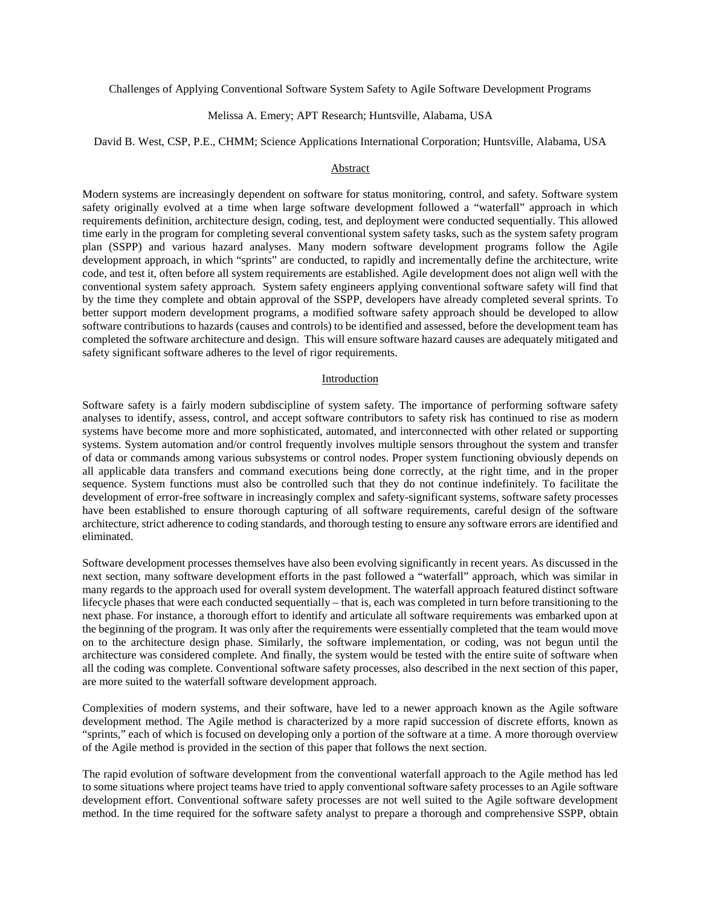Challenges of Applying Conventional Software System Safety to Agile Software Development Programs

## Melissa A. Emery; APT Research; Huntsville, Alabama, USA

#### David B. West, CSP, P.E., CHMM; Science Applications International Corporation; Huntsville, Alabama, USA

#### Abstract

Modern systems are increasingly dependent on software for status monitoring, control, and safety. Software system safety originally evolved at a time when large software development followed a "waterfall" approach in which requirements definition, architecture design, coding, test, and deployment were conducted sequentially. This allowed time early in the program for completing several conventional system safety tasks, such as the system safety program plan (SSPP) and various hazard analyses. Many modern software development programs follow the Agile development approach, in which "sprints" are conducted, to rapidly and incrementally define the architecture, write code, and test it, often before all system requirements are established. Agile development does not align well with the conventional system safety approach. System safety engineers applying conventional software safety will find that by the time they complete and obtain approval of the SSPP, developers have already completed several sprints. To better support modern development programs, a modified software safety approach should be developed to allow software contributions to hazards (causes and controls) to be identified and assessed, before the development team has completed the software architecture and design. This will ensure software hazard causes are adequately mitigated and safety significant software adheres to the level of rigor requirements.

#### Introduction

Software safety is a fairly modern subdiscipline of system safety. The importance of performing software safety analyses to identify, assess, control, and accept software contributors to safety risk has continued to rise as modern systems have become more and more sophisticated, automated, and interconnected with other related or supporting systems. System automation and/or control frequently involves multiple sensors throughout the system and transfer of data or commands among various subsystems or control nodes. Proper system functioning obviously depends on all applicable data transfers and command executions being done correctly, at the right time, and in the proper sequence. System functions must also be controlled such that they do not continue indefinitely. To facilitate the development of error-free software in increasingly complex and safety-significant systems, software safety processes have been established to ensure thorough capturing of all software requirements, careful design of the software architecture, strict adherence to coding standards, and thorough testing to ensure any software errors are identified and eliminated.

Software development processes themselves have also been evolving significantly in recent years. As discussed in the next section, many software development efforts in the past followed a "waterfall" approach, which was similar in many regards to the approach used for overall system development. The waterfall approach featured distinct software lifecycle phases that were each conducted sequentially – that is, each was completed in turn before transitioning to the next phase. For instance, a thorough effort to identify and articulate all software requirements was embarked upon at the beginning of the program. It was only after the requirements were essentially completed that the team would move on to the architecture design phase. Similarly, the software implementation, or coding, was not begun until the architecture was considered complete. And finally, the system would be tested with the entire suite of software when all the coding was complete. Conventional software safety processes, also described in the next section of this paper, are more suited to the waterfall software development approach.

Complexities of modern systems, and their software, have led to a newer approach known as the Agile software development method. The Agile method is characterized by a more rapid succession of discrete efforts, known as "sprints," each of which is focused on developing only a portion of the software at a time. A more thorough overview of the Agile method is provided in the section of this paper that follows the next section.

The rapid evolution of software development from the conventional waterfall approach to the Agile method has led to some situations where project teams have tried to apply conventional software safety processes to an Agile software development effort. Conventional software safety processes are not well suited to the Agile software development method. In the time required for the software safety analyst to prepare a thorough and comprehensive SSPP, obtain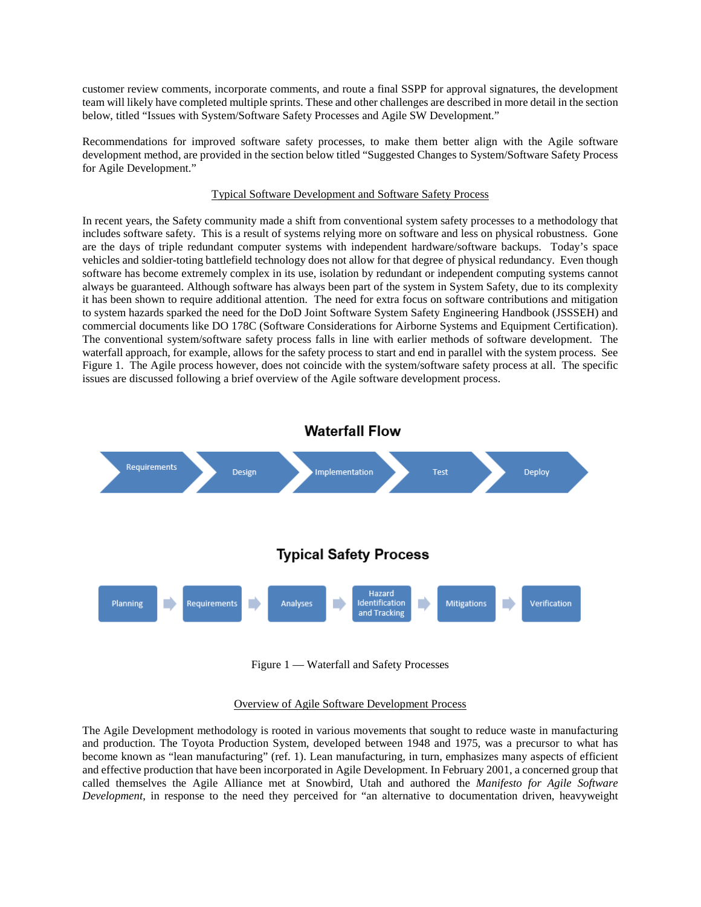customer review comments, incorporate comments, and route a final SSPP for approval signatures, the development team will likely have completed multiple sprints. These and other challenges are described in more detail in the section below, titled "Issues with System/Software Safety Processes and Agile SW Development."

Recommendations for improved software safety processes, to make them better align with the Agile software development method, are provided in the section below titled "Suggested Changes to System/Software Safety Process for Agile Development."

# Typical Software Development and Software Safety Process

In recent years, the Safety community made a shift from conventional system safety processes to a methodology that includes software safety. This is a result of systems relying more on software and less on physical robustness. Gone are the days of triple redundant computer systems with independent hardware/software backups. Today's space vehicles and soldier-toting battlefield technology does not allow for that degree of physical redundancy. Even though software has become extremely complex in its use, isolation by redundant or independent computing systems cannot always be guaranteed. Although software has always been part of the system in System Safety, due to its complexity it has been shown to require additional attention. The need for extra focus on software contributions and mitigation to system hazards sparked the need for the DoD Joint Software System Safety Engineering Handbook (JSSSEH) and commercial documents like DO 178C (Software Considerations for Airborne Systems and Equipment Certification). The conventional system/software safety process falls in line with earlier methods of software development. The waterfall approach, for example, allows for the safety process to start and end in parallel with the system process. See Figure 1. The Agile process however, does not coincide with the system/software safety process at all. The specific issues are discussed following a brief overview of the Agile software development process.



Figure 1 — Waterfall and Safety Processes

### Overview of Agile Software Development Process

The Agile Development methodology is rooted in various movements that sought to reduce waste in manufacturing and production. The Toyota Production System, developed between 1948 and 1975, was a precursor to what has become known as "lean manufacturing" (ref. 1). Lean manufacturing, in turn, emphasizes many aspects of efficient and effective production that have been incorporated in Agile Development. In February 2001, a concerned group that called themselves the Agile Alliance met at Snowbird, Utah and authored the *Manifesto for Agile Software Development*, in response to the need they perceived for "an alternative to documentation driven, heavyweight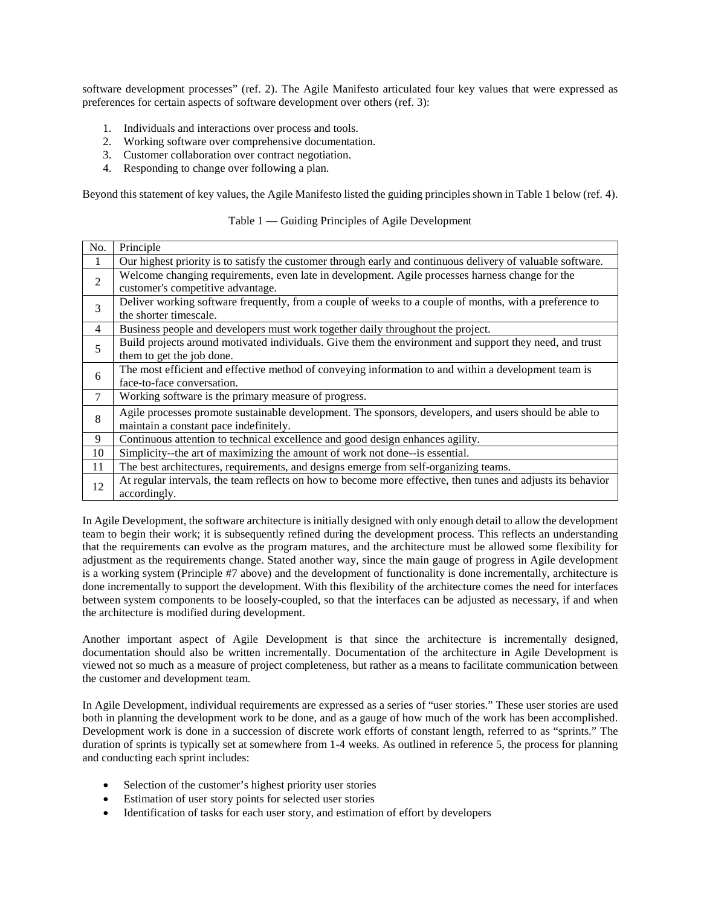software development processes" (ref. 2). The Agile Manifesto articulated four key values that were expressed as preferences for certain aspects of software development over others (ref. 3):

- 1. Individuals and interactions over process and tools.
- 2. Working software over comprehensive documentation.
- 3. Customer collaboration over contract negotiation.
- 4. Responding to change over following a plan.

Beyond this statement of key values, the Agile Manifesto listed the guiding principles shown in Table 1 below (ref. 4).

### Table 1 — Guiding Principles of Agile Development

| No. | Principle                                                                                                    |
|-----|--------------------------------------------------------------------------------------------------------------|
| 1   | Our highest priority is to satisfy the customer through early and continuous delivery of valuable software.  |
| 2   | Welcome changing requirements, even late in development. Agile processes harness change for the              |
|     | customer's competitive advantage.                                                                            |
| 3   | Deliver working software frequently, from a couple of weeks to a couple of months, with a preference to      |
|     | the shorter timescale.                                                                                       |
| 4   | Business people and developers must work together daily throughout the project.                              |
| 5   | Build projects around motivated individuals. Give them the environment and support they need, and trust      |
|     | them to get the job done.                                                                                    |
| 6   | The most efficient and effective method of conveying information to and within a development team is         |
|     | face-to-face conversation.                                                                                   |
| 7   | Working software is the primary measure of progress.                                                         |
| 8   | Agile processes promote sustainable development. The sponsors, developers, and users should be able to       |
|     | maintain a constant pace indefinitely.                                                                       |
| 9   | Continuous attention to technical excellence and good design enhances agility.                               |
| 10  | Simplicity--the art of maximizing the amount of work not done--is essential.                                 |
| 11  | The best architectures, requirements, and designs emerge from self-organizing teams.                         |
| 12  | At regular intervals, the team reflects on how to become more effective, then tunes and adjusts its behavior |
|     | accordingly.                                                                                                 |

In Agile Development, the software architecture is initially designed with only enough detail to allow the development team to begin their work; it is subsequently refined during the development process. This reflects an understanding that the requirements can evolve as the program matures, and the architecture must be allowed some flexibility for adjustment as the requirements change. Stated another way, since the main gauge of progress in Agile development is a working system (Principle #7 above) and the development of functionality is done incrementally, architecture is done incrementally to support the development. With this flexibility of the architecture comes the need for interfaces between system components to be loosely-coupled, so that the interfaces can be adjusted as necessary, if and when the architecture is modified during development.

Another important aspect of Agile Development is that since the architecture is incrementally designed, documentation should also be written incrementally. Documentation of the architecture in Agile Development is viewed not so much as a measure of project completeness, but rather as a means to facilitate communication between the customer and development team.

In Agile Development, individual requirements are expressed as a series of "user stories." These user stories are used both in planning the development work to be done, and as a gauge of how much of the work has been accomplished. Development work is done in a succession of discrete work efforts of constant length, referred to as "sprints." The duration of sprints is typically set at somewhere from 1-4 weeks. As outlined in reference 5, the process for planning and conducting each sprint includes:

- Selection of the customer's highest priority user stories
- Estimation of user story points for selected user stories
- Identification of tasks for each user story, and estimation of effort by developers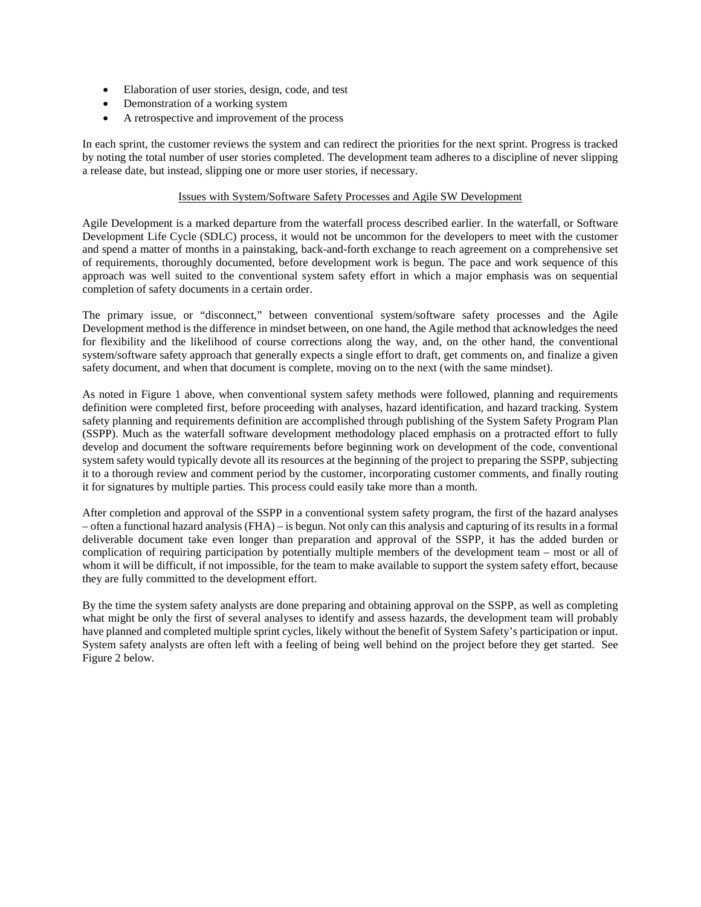- Elaboration of user stories, design, code, and test
- Demonstration of a working system
- A retrospective and improvement of the process

In each sprint, the customer reviews the system and can redirect the priorities for the next sprint. Progress is tracked by noting the total number of user stories completed. The development team adheres to a discipline of never slipping a release date, but instead, slipping one or more user stories, if necessary.

## Issues with System/Software Safety Processes and Agile SW Development

Agile Development is a marked departure from the waterfall process described earlier. In the waterfall, or Software Development Life Cycle (SDLC) process, it would not be uncommon for the developers to meet with the customer and spend a matter of months in a painstaking, back-and-forth exchange to reach agreement on a comprehensive set of requirements, thoroughly documented, before development work is begun. The pace and work sequence of this approach was well suited to the conventional system safety effort in which a major emphasis was on sequential completion of safety documents in a certain order.

The primary issue, or "disconnect," between conventional system/software safety processes and the Agile Development method is the difference in mindset between, on one hand, the Agile method that acknowledges the need for flexibility and the likelihood of course corrections along the way, and, on the other hand, the conventional system/software safety approach that generally expects a single effort to draft, get comments on, and finalize a given safety document, and when that document is complete, moving on to the next (with the same mindset).

As noted in Figure 1 above, when conventional system safety methods were followed, planning and requirements definition were completed first, before proceeding with analyses, hazard identification, and hazard tracking. System safety planning and requirements definition are accomplished through publishing of the System Safety Program Plan (SSPP). Much as the waterfall software development methodology placed emphasis on a protracted effort to fully develop and document the software requirements before beginning work on development of the code, conventional system safety would typically devote all its resources at the beginning of the project to preparing the SSPP, subjecting it to a thorough review and comment period by the customer, incorporating customer comments, and finally routing it for signatures by multiple parties. This process could easily take more than a month.

After completion and approval of the SSPP in a conventional system safety program, the first of the hazard analyses – often a functional hazard analysis (FHA) – is begun. Not only can this analysis and capturing of its results in a formal deliverable document take even longer than preparation and approval of the SSPP, it has the added burden or complication of requiring participation by potentially multiple members of the development team – most or all of whom it will be difficult, if not impossible, for the team to make available to support the system safety effort, because they are fully committed to the development effort.

By the time the system safety analysts are done preparing and obtaining approval on the SSPP, as well as completing what might be only the first of several analyses to identify and assess hazards, the development team will probably have planned and completed multiple sprint cycles, likely without the benefit of System Safety's participation or input. System safety analysts are often left with a feeling of being well behind on the project before they get started. See Figure 2 below.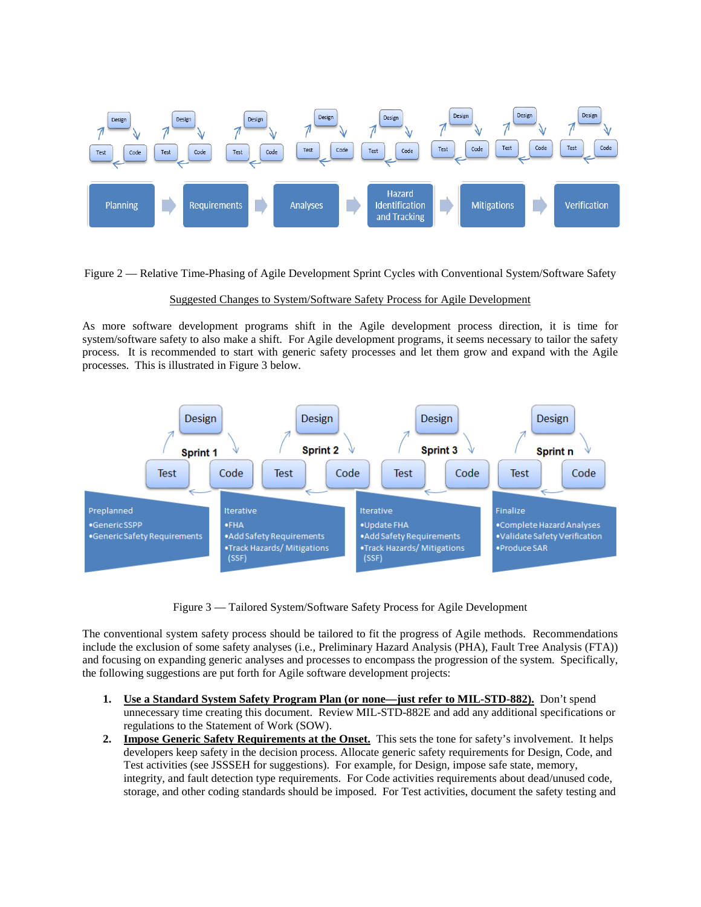

Figure 2 — Relative Time-Phasing of Agile Development Sprint Cycles with Conventional System/Software Safety

# Suggested Changes to System/Software Safety Process for Agile Development

As more software development programs shift in the Agile development process direction, it is time for system/software safety to also make a shift. For Agile development programs, it seems necessary to tailor the safety process. It is recommended to start with generic safety processes and let them grow and expand with the Agile processes. This is illustrated in Figure 3 below.



Figure 3 — Tailored System/Software Safety Process for Agile Development

The conventional system safety process should be tailored to fit the progress of Agile methods. Recommendations include the exclusion of some safety analyses (i.e., Preliminary Hazard Analysis (PHA), Fault Tree Analysis (FTA)) and focusing on expanding generic analyses and processes to encompass the progression of the system. Specifically, the following suggestions are put forth for Agile software development projects:

- **1. Use a Standard System Safety Program Plan (or none—just refer to MIL-STD-882).** Don't spend unnecessary time creating this document. Review MIL-STD-882E and add any additional specifications or regulations to the Statement of Work (SOW).
- **2. Impose Generic Safety Requirements at the Onset.** This sets the tone for safety's involvement. It helps developers keep safety in the decision process. Allocate generic safety requirements for Design, Code, and Test activities (see JSSSEH for suggestions). For example, for Design, impose safe state, memory, integrity, and fault detection type requirements. For Code activities requirements about dead/unused code, storage, and other coding standards should be imposed. For Test activities, document the safety testing and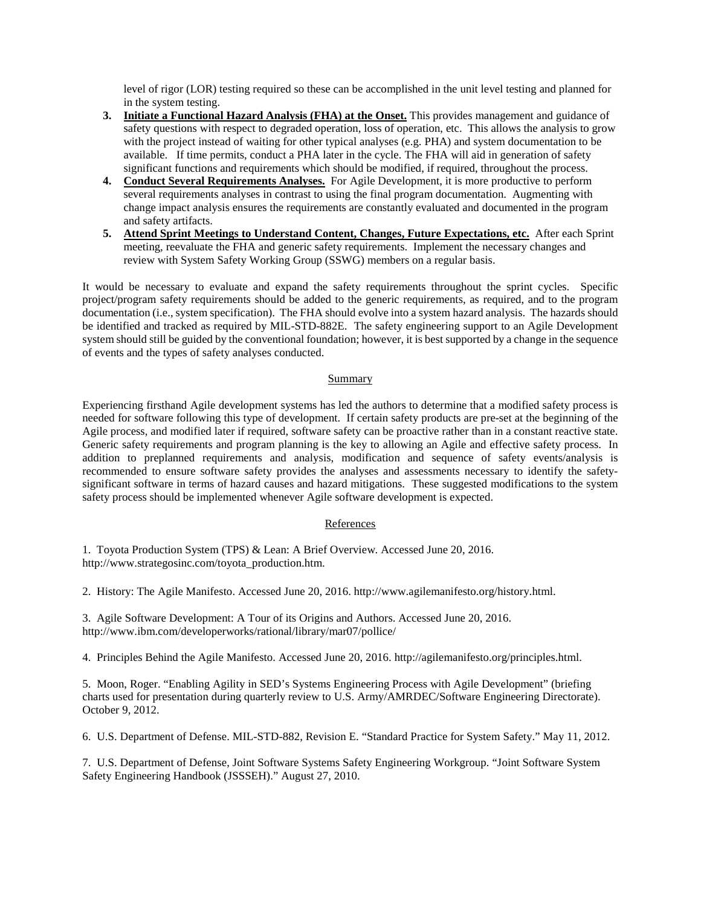level of rigor (LOR) testing required so these can be accomplished in the unit level testing and planned for in the system testing.

- **3. Initiate a Functional Hazard Analysis (FHA) at the Onset.** This provides management and guidance of safety questions with respect to degraded operation, loss of operation, etc. This allows the analysis to grow with the project instead of waiting for other typical analyses (e.g. PHA) and system documentation to be available. If time permits, conduct a PHA later in the cycle. The FHA will aid in generation of safety significant functions and requirements which should be modified, if required, throughout the process.
- **4. Conduct Several Requirements Analyses.** For Agile Development, it is more productive to perform several requirements analyses in contrast to using the final program documentation. Augmenting with change impact analysis ensures the requirements are constantly evaluated and documented in the program and safety artifacts.
- **5. Attend Sprint Meetings to Understand Content, Changes, Future Expectations, etc.** After each Sprint meeting, reevaluate the FHA and generic safety requirements. Implement the necessary changes and review with System Safety Working Group (SSWG) members on a regular basis.

It would be necessary to evaluate and expand the safety requirements throughout the sprint cycles. Specific project/program safety requirements should be added to the generic requirements, as required, and to the program documentation (i.e., system specification). The FHA should evolve into a system hazard analysis. The hazards should be identified and tracked as required by MIL-STD-882E. The safety engineering support to an Agile Development system should still be guided by the conventional foundation; however, it is best supported by a change in the sequence of events and the types of safety analyses conducted.

# Summary

Experiencing firsthand Agile development systems has led the authors to determine that a modified safety process is needed for software following this type of development. If certain safety products are pre-set at the beginning of the Agile process, and modified later if required, software safety can be proactive rather than in a constant reactive state. Generic safety requirements and program planning is the key to allowing an Agile and effective safety process. In addition to preplanned requirements and analysis, modification and sequence of safety events/analysis is recommended to ensure software safety provides the analyses and assessments necessary to identify the safetysignificant software in terms of hazard causes and hazard mitigations. These suggested modifications to the system safety process should be implemented whenever Agile software development is expected.

### References

1. Toyota Production System (TPS) & Lean: A Brief Overview. Accessed June 20, 2016. http://www.strategosinc.com/toyota\_production.htm.

2. History: The Agile Manifesto. Accessed June 20, 2016. http://www.agilemanifesto.org/history.html.

3. Agile Software Development: A Tour of its Origins and Authors. Accessed June 20, 2016. http://www.ibm.com/developerworks/rational/library/mar07/pollice/

4. Principles Behind the Agile Manifesto. Accessed June 20, 2016. http://agilemanifesto.org/principles.html.

5. Moon, Roger. "Enabling Agility in SED's Systems Engineering Process with Agile Development" (briefing charts used for presentation during quarterly review to U.S. Army/AMRDEC/Software Engineering Directorate). October 9, 2012.

6. U.S. Department of Defense. MIL-STD-882, Revision E. "Standard Practice for System Safety." May 11, 2012.

7. U.S. Department of Defense, Joint Software Systems Safety Engineering Workgroup. "Joint Software System Safety Engineering Handbook (JSSSEH)." August 27, 2010.